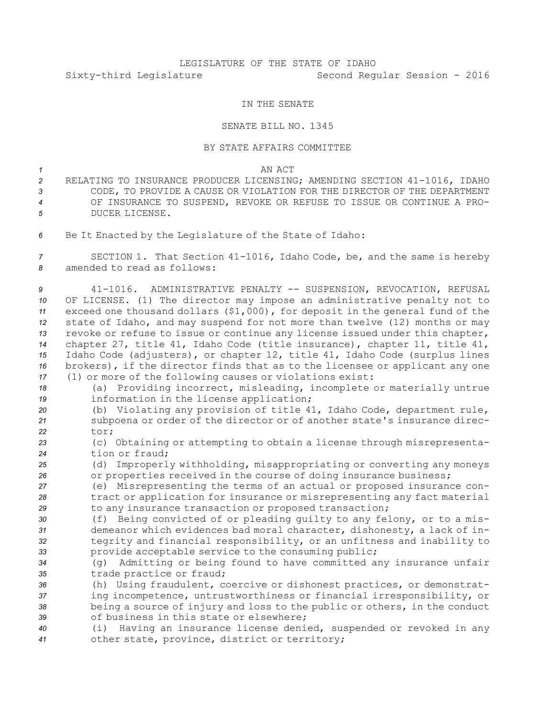## LEGISLATURE OF THE STATE OF IDAHO Sixty-third Legislature Second Regular Session - 2016

## IN THE SENATE

## SENATE BILL NO. 1345

## BY STATE AFFAIRS COMMITTEE

*1* AN ACT

 RELATING TO INSURANCE PRODUCER LICENSING; AMENDING SECTION 41-1016, IDAHO CODE, TO PROVIDE A CAUSE OR VIOLATION FOR THE DIRECTOR OF THE DEPARTMENT OF INSURANCE TO SUSPEND, REVOKE OR REFUSE TO ISSUE OR CONTINUE A PRO-DUCER LICENSE.

*<sup>6</sup>* Be It Enacted by the Legislature of the State of Idaho:

*<sup>7</sup>* SECTION 1. That Section 41-1016, Idaho Code, be, and the same is hereby *8* amended to read as follows:

 41-1016. ADMINISTRATIVE PENALTY -- SUSPENSION, REVOCATION, REFUSAL OF LICENSE. (1) The director may impose an administrative penalty not to exceed one thousand dollars (\$1,000), for deposit in the general fund of the state of Idaho, and may suspend for not more than twelve (12) months or may revoke or refuse to issue or continue any license issued under this chapter, chapter 27, title 41, Idaho Code (title insurance), chapter 11, title 41, Idaho Code (adjusters), or chapter 12, title 41, Idaho Code (surplus lines brokers), if the director finds that as to the licensee or applicant any one (1) or more of the following causes or violations exist:

- *<sup>18</sup>* (a) Providing incorrect, misleading, incomplete or materially untrue *<sup>19</sup>* information in the license application;
- *<sup>20</sup>* (b) Violating any provision of title 41, Idaho Code, department rule, *<sup>21</sup>* subpoena or order of the director or of another state's insurance direc-*22* tor;
- *<sup>23</sup>* (c) Obtaining or attempting to obtain <sup>a</sup> license through misrepresenta-*24* tion or fraud;
- *<sup>25</sup>* (d) Improperly withholding, misappropriating or converting any moneys *<sup>26</sup>* or properties received in the course of doing insurance business;
- *<sup>27</sup>* (e) Misrepresenting the terms of an actual or proposed insurance con-*<sup>28</sup>* tract or application for insurance or misrepresenting any fact material *<sup>29</sup>* to any insurance transaction or proposed transaction;
- *<sup>30</sup>* (f) Being convicted of or pleading guilty to any felony, or to <sup>a</sup> mis-*<sup>31</sup>* demeanor which evidences bad moral character, dishonesty, <sup>a</sup> lack of in-*<sup>32</sup>* tegrity and financial responsibility, or an unfitness and inability to *<sup>33</sup>* provide acceptable service to the consuming public;
- *<sup>34</sup>* (g) Admitting or being found to have committed any insurance unfair *<sup>35</sup>* trade practice or fraud;
- *<sup>36</sup>* (h) Using fraudulent, coercive or dishonest practices, or demonstrat-*<sup>37</sup>* ing incompetence, untrustworthiness or financial irresponsibility, or *<sup>38</sup>* being <sup>a</sup> source of injury and loss to the public or others, in the conduct *39* of business in this state or elsewhere;
- *<sup>40</sup>* (i) Having an insurance license denied, suspended or revoked in any *<sup>41</sup>* other state, province, district or territory;